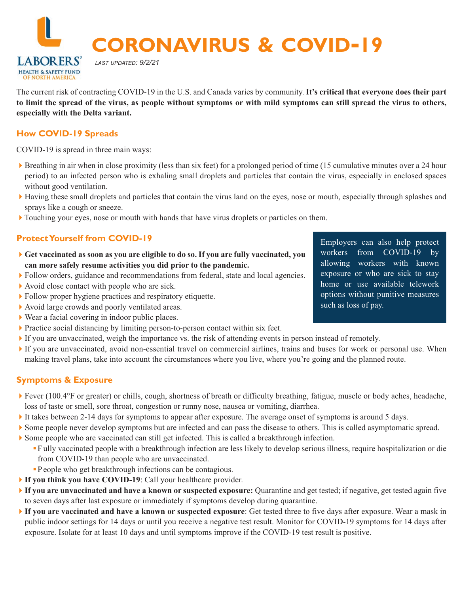**CORONAVIRUS & COVID-19**

The current risk of contracting COVID-19 in the U.S. and Canada varies by community. **It's critical that everyone does their part to limit the spread of the virus, as people without symptoms or with mild symptoms can still spread the virus to others, especially with the Delta variant.** 

### **How COVID-19 Spreads**

**LABORERS HEALTH & SAFETY FUND** 

COVID-19 is spread in three main ways:

- ▶ Breathing in air when in close proximity (less than six feet) for a prolonged period of time (15 cumulative minutes over a 24 hour period) to an infected person who is exhaling small droplets and particles that contain the virus, especially in enclosed spaces without good ventilation.
- 4Having these small droplets and particles that contain the virus land on the eyes, nose or mouth, especially through splashes and sprays like a cough or sneeze.
- 4Touching your eyes, nose or mouth with hands that have virus droplets or particles on them.

### **Protect Yourself from COVID-19**

- 4**Get vaccinated as soon as you are eligible to do so. If you are fully vaccinated, you can more safely resume activities you did prior to the pandemic.**
- 4Follow orders, guidance and recommendations from federal, state and local agencies.
- $\blacktriangleright$  Avoid close contact with people who are sick.
- 4Follow proper hygiene practices and respiratory etiquette.

*LAST UPDATED: 9/2/21*

- 4Avoid large crowds and poorly ventilated areas.
- $\blacktriangleright$  Wear a facial covering in indoor public places.
- 4Practice social distancing by limiting person-to-person contact within six feet.
- If you are unvaccinated, weigh the importance vs. the risk of attending events in person instead of remotely.
- 4If you are unvaccinated, avoid non-essential travel on commercial airlines, trains and buses for work or personal use. When making travel plans, take into account the circumstances where you live, where you're going and the planned route.

### **Symptoms & Exposure**

- Fever (100.4°F or greater) or chills, cough, shortness of breath or difficulty breathing, fatigue, muscle or body aches, headache, loss of taste or smell, sore throat, congestion or runny nose, nausea or vomiting, diarrhea.
- It takes between 2-14 days for symptoms to appear after exposure. The average onset of symptoms is around 5 days.
- 4Some people never develop symptoms but are infected and can pass the disease to others. This is called asymptomatic spread.
- 4Some people who are vaccinated can still get infected. This is called a breakthrough infection.
	- F ully vaccinated people with a breakthrough infection are less likely to develop serious illness, require hospitalization or die from COVID-19 than people who are unvaccinated.
	- P eople who get breakthrough infections can be contagious.
- 4**If you think you have COVID-19**: Call your healthcare provider.
- 4**If you are unvaccinated and have a known or suspected exposure:** Quarantine and get tested; if negative, get tested again five to seven days after last exposure or immediately if symptoms develop during quarantine.
- 4**If you are vaccinated and have a known or suspected exposure**: Get tested three to five days after exposure. Wear a mask in public indoor settings for 14 days or until you receive a negative test result. Monitor for COVID-19 symptoms for 14 days after exposure. Isolate for at least 10 days and until symptoms improve if the COVID-19 test result is positive.

Employers can also help protect workers from COVID-19 by allowing workers with known exposure or who are sick to stay home or use available telework options without punitive measures such as loss of pay.